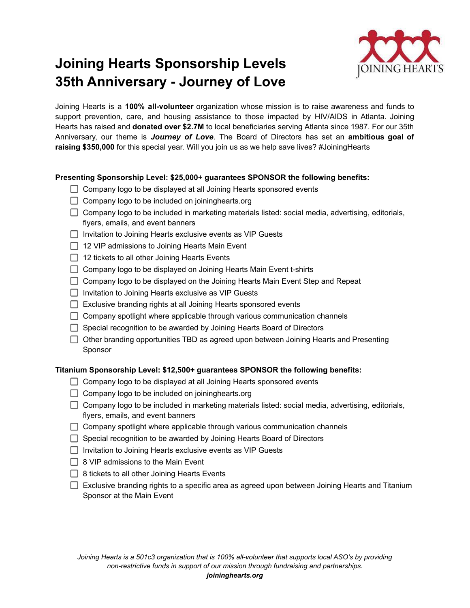# **Joining Hearts Sponsorship Levels 35th Anniversary - Journey of Love**



Joining Hearts is a **100% all-volunteer** organization whose mission is to raise awareness and funds to support prevention, care, and housing assistance to those impacted by HIV/AIDS in Atlanta. Joining Hearts has raised and **donated over \$2.7M** to local beneficiaries serving Atlanta since 1987. For our 35th Anniversary, our theme is *Journey of Love*. The Board of Directors has set an **ambitious goal of raising \$350,000** for this special year. Will you join us as we help save lives? #JoiningHearts

### **Presenting Sponsorship Level: \$25,000+ guarantees SPONSOR the following benefits:**

- $\Box$  Company logo to be displayed at all Joining Hearts sponsored events
- $\Box$  Company logo to be included on joininghearts.org
- $\Box$  Company logo to be included in marketing materials listed: social media, advertising, editorials, flyers, emails, and event banners
- $\Box$  Invitation to Joining Hearts exclusive events as VIP Guests
- $\Box$  12 VIP admissions to Joining Hearts Main Event
- $\Box$  12 tickets to all other Joining Hearts Events
- $\Box$  Company logo to be displayed on Joining Hearts Main Event t-shirts
- $\Box$  Company logo to be displayed on the Joining Hearts Main Event Step and Repeat
- $\Box$  Invitation to Joining Hearts exclusive as VIP Guests
- $\Box$  Exclusive branding rights at all Joining Hearts sponsored events
- $\Box$  Company spotlight where applicable through various communication channels
- $\Box$  Special recognition to be awarded by Joining Hearts Board of Directors
- $\Box$  Other branding opportunities TBD as agreed upon between Joining Hearts and Presenting Sponsor

#### **Titanium Sponsorship Level: \$12,500+ guarantees SPONSOR the following benefits:**

- $\Box$  Company logo to be displayed at all Joining Hearts sponsored events
- $\Box$  Company logo to be included on joininghearts.org
- $\Box$  Company logo to be included in marketing materials listed: social media, advertising, editorials, flyers, emails, and event banners
- $\Box$  Company spotlight where applicable through various communication channels
- Special recognition to be awarded by Joining Hearts Board of Directors
- $\Box$  Invitation to Joining Hearts exclusive events as VIP Guests
- $\Box$  8 VIP admissions to the Main Event
- $\Box$  8 tickets to all other Joining Hearts Events
- Exclusive branding rights to a specific area as agreed upon between Joining Hearts and Titanium Sponsor at the Main Event